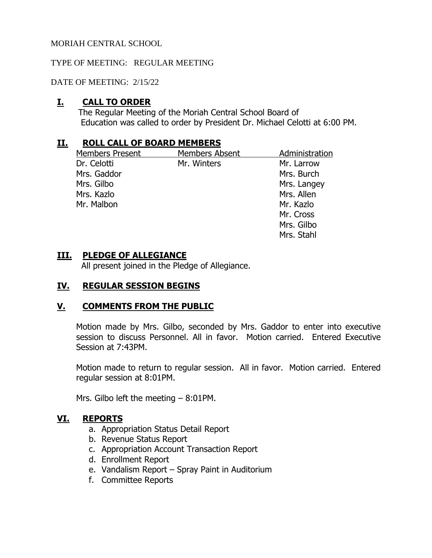## TYPE OF MEETING: REGULAR MEETING

DATE OF MEETING: 2/15/22

# **I. CALL TO ORDER**

The Regular Meeting of the Moriah Central School Board of Education was called to order by President Dr. Michael Celotti at 6:00 PM.

## **II. ROLL CALL OF BOARD MEMBERS**

| <b>Members Present</b> | <b>Members Absent</b> | Administration |
|------------------------|-----------------------|----------------|
| Dr. Celotti            | Mr. Winters           | Mr. Larrow     |
| Mrs. Gaddor            |                       | Mrs. Burch     |
| Mrs. Gilbo             |                       | Mrs. Langey    |
| Mrs. Kazlo             |                       | Mrs. Allen     |
| Mr. Malbon             |                       | Mr. Kazlo      |
|                        |                       | Mr. Cross      |
|                        |                       | Mrs. Gilbo     |
|                        |                       | Mrs. Stahl     |

## **III. PLEDGE OF ALLEGIANCE**

All present joined in the Pledge of Allegiance.

# **IV. REGULAR SESSION BEGINS**

# **V. COMMENTS FROM THE PUBLIC**

Motion made by Mrs. Gilbo, seconded by Mrs. Gaddor to enter into executive session to discuss Personnel. All in favor. Motion carried. Entered Executive Session at 7:43PM.

Motion made to return to regular session. All in favor. Motion carried. Entered regular session at 8:01PM.

Mrs. Gilbo left the meeting – 8:01PM.

# **VI. REPORTS**

- a. Appropriation Status Detail Report
- b. Revenue Status Report
- c. Appropriation Account Transaction Report
- d. Enrollment Report
- e. Vandalism Report Spray Paint in Auditorium
- f. Committee Reports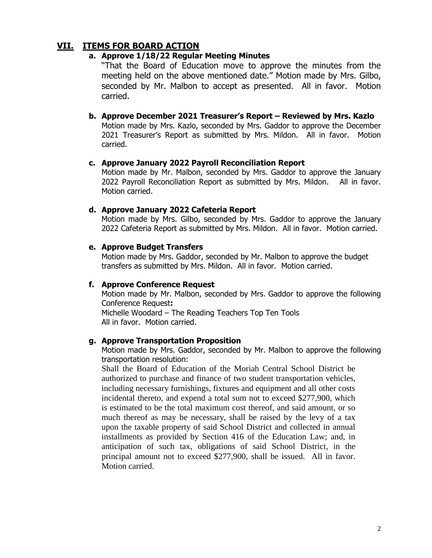# **VII. ITEMS FOR BOARD ACTION**

## **a. Approve 1/18/22 Regular Meeting Minutes**

"That the Board of Education move to approve the minutes from the meeting held on the above mentioned date." Motion made by Mrs. Gilbo, seconded by Mr. Malbon to accept as presented. All in favor. Motion carried.

## **b. Approve December 2021 Treasurer's Report – Reviewed by Mrs. Kazlo**

Motion made by Mrs. Kazlo, seconded by Mrs. Gaddor to approve the December 2021 Treasurer's Report as submitted by Mrs. Mildon. All in favor. Motion carried.

### **c. Approve January 2022 Payroll Reconciliation Report**

Motion made by Mr. Malbon, seconded by Mrs. Gaddor to approve the January 2022 Payroll Reconciliation Report as submitted by Mrs. Mildon. All in favor. Motion carried.

#### **d. Approve January 2022 Cafeteria Report**

Motion made by Mrs. Gilbo, seconded by Mrs. Gaddor to approve the January 2022 Cafeteria Report as submitted by Mrs. Mildon. All in favor. Motion carried.

### **e. Approve Budget Transfers**

Motion made by Mrs. Gaddor, seconded by Mr. Malbon to approve the budget transfers as submitted by Mrs. Mildon. All in favor. Motion carried.

### **f. Approve Conference Request**

Motion made by Mr. Malbon, seconded by Mrs. Gaddor to approve the following Conference Request**:**  Michelle Woodard – The Reading Teachers Top Ten Tools All in favor. Motion carried.

#### **g. Approve Transportation Proposition**

Motion made by Mrs. Gaddor, seconded by Mr. Malbon to approve the following transportation resolution:

Shall the Board of Education of the Moriah Central School District be authorized to purchase and finance of two student transportation vehicles, including necessary furnishings, fixtures and equipment and all other costs incidental thereto, and expend a total sum not to exceed \$277,900, which is estimated to be the total maximum cost thereof, and said amount, or so much thereof as may be necessary, shall be raised by the levy of a tax upon the taxable property of said School District and collected in annual installments as provided by Section 416 of the Education Law; and, in anticipation of such tax, obligations of said School District, in the principal amount not to exceed \$277,900, shall be issued. All in favor. Motion carried.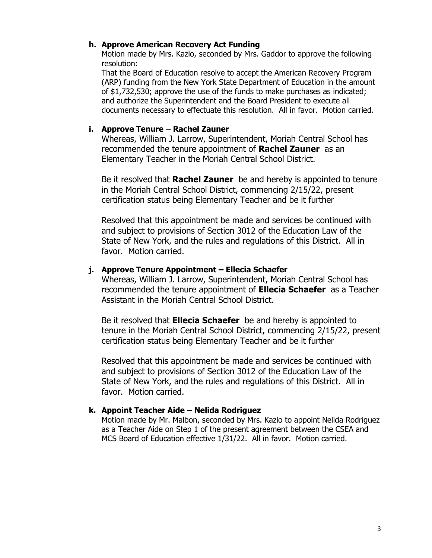## **h. Approve American Recovery Act Funding**

Motion made by Mrs. Kazlo, seconded by Mrs. Gaddor to approve the following resolution:

That the Board of Education resolve to accept the American Recovery Program (ARP) funding from the New York State Department of Education in the amount of \$1,732,530; approve the use of the funds to make purchases as indicated; and authorize the Superintendent and the Board President to execute all documents necessary to effectuate this resolution. All in favor. Motion carried.

## **i. Approve Tenure – Rachel Zauner**

Whereas, William J. Larrow, Superintendent, Moriah Central School has recommended the tenure appointment of **Rachel Zauner** as an Elementary Teacher in the Moriah Central School District.

Be it resolved that **Rachel Zauner** be and hereby is appointed to tenure in the Moriah Central School District, commencing 2/15/22, present certification status being Elementary Teacher and be it further

Resolved that this appointment be made and services be continued with and subject to provisions of Section 3012 of the Education Law of the State of New York, and the rules and regulations of this District. All in favor. Motion carried.

## **j. Approve Tenure Appointment – Ellecia Schaefer**

Whereas, William J. Larrow, Superintendent, Moriah Central School has recommended the tenure appointment of **Ellecia Schaefer** as a Teacher Assistant in the Moriah Central School District.

Be it resolved that **Ellecia Schaefer** be and hereby is appointed to tenure in the Moriah Central School District, commencing 2/15/22, present certification status being Elementary Teacher and be it further

Resolved that this appointment be made and services be continued with and subject to provisions of Section 3012 of the Education Law of the State of New York, and the rules and regulations of this District. All in favor. Motion carried.

### **k. Appoint Teacher Aide – Nelida Rodriguez**

Motion made by Mr. Malbon, seconded by Mrs. Kazlo to appoint Nelida Rodriguez as a Teacher Aide on Step 1 of the present agreement between the CSEA and MCS Board of Education effective 1/31/22. All in favor. Motion carried.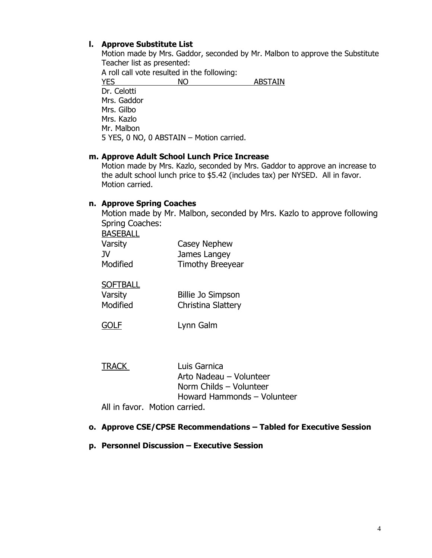## **l. Approve Substitute List**

Motion made by Mrs. Gaddor, seconded by Mr. Malbon to approve the Substitute Teacher list as presented:

A roll call vote resulted in the following: YES NO ABSTAIN Dr. Celotti Mrs. Gaddor Mrs. Gilbo Mrs. Kazlo Mr. Malbon 5 YES, 0 NO, 0 ABSTAIN – Motion carried.

### **m. Approve Adult School Lunch Price Increase**

Motion made by Mrs. Kazlo, seconded by Mrs. Gaddor to approve an increase to the adult school lunch price to \$5.42 (includes tax) per NYSED. All in favor. Motion carried.

## **n. Approve Spring Coaches**

Motion made by Mr. Malbon, seconded by Mrs. Kazlo to approve following Spring Coaches:

| <b>BASEBALL</b> |                         |
|-----------------|-------------------------|
| Varsity         | Casey Nephew            |
| JV              | James Langey            |
| Modified        | <b>Timothy Breeyear</b> |

**SOFTBALL** Varsity Billie Jo Simpson Modified Christina Slattery

| <b>GOLF</b> | Lynn Galm |
|-------------|-----------|

| <b>TRACK</b> | Luis Garnica                  |
|--------------|-------------------------------|
|              | Arto Nadeau – Volunteer       |
|              | Norm Childs – Volunteer       |
|              | Howard Hammonds - Volunteer   |
|              | All in favor. Motion carried. |

## **o. Approve CSE/CPSE Recommendations – Tabled for Executive Session**

**p. Personnel Discussion – Executive Session**